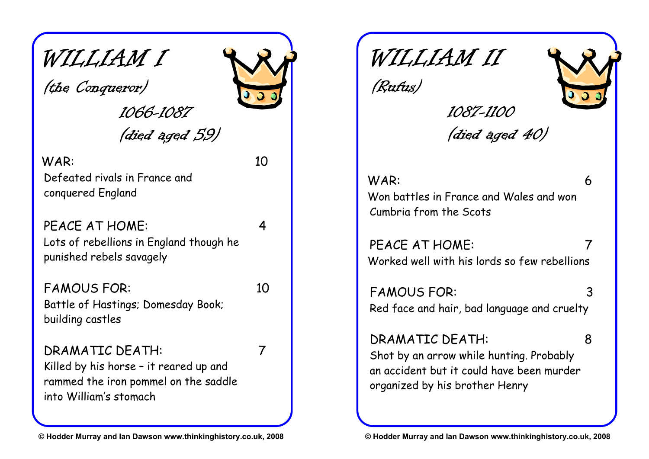# WILLIAM I

(the Conqueror)

1066-1087 (died aged 59)

#### WAR: 10

Defeated rivals in France and conquered England

PFACF AT HOMF: 4 Lots of rebellions in England though he punished rebels savagely

FAMOUS FOR: 10 Battle of Hastings; Domesday Book; building castles

DRAMATIC DEATH: 7 Killed by his horse – it reared up and rammed the iron pommel on the saddle into William's stomach

WILLIAM II

(Rufus)



*1087-1100* (died aged 40)

WAR: 6 Won battles in France and Wales and won Cumbria from the Scots

PEACE AT HOME: Worked well with his lords so few rebellions

FAMOUS FOR: 3 Red face and hair, bad language and cruelty

DRAMATIC DEATH: 8

Shot by an arrow while hunting. Probably an accident but it could have been murder organized by his brother Henry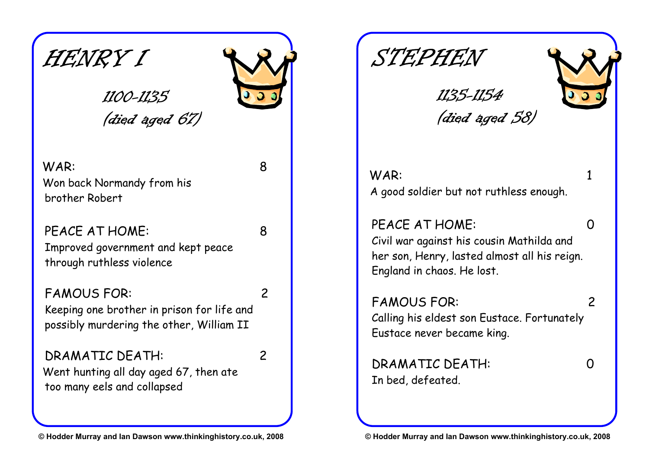HENRY I

# (died aged 67)

*1100-1135* 

#### WAR: 8 Won back Normandy from his brother Robert

PFACE AT HOME: 8 Improved government and kept peace through ruthless violence

#### FAMOUS FOR: 2

Keeping one brother in prison for life and possibly murdering the other, William II

# DRAMATIC DEATH: 2

Went hunting all day aged 67, then ate too many eels and collapsed

1135-1154 (died aged 58)

WAR: 1 A good soldier but not ruthless enough.

#### PEACE AT HOME: 0

Civil war against his cousin Mathilda and her son, Henry, lasted almost all his reign. England in chaos. He lost.

#### FAMOUS FOR: 2 Calling his eldest son Eustace. Fortunately Eustace never became king.

DRAMATIC DEATH: 0 In bed, defeated.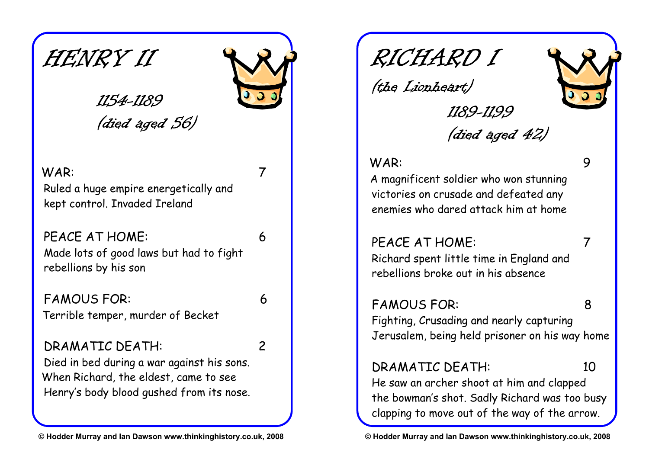HENRY II

# 1154-1189 (died aged 56)

#### WAR: 7

Ruled a huge empire energetically and kept control. Invaded Ireland

#### PEACE AT HOME: 6 Made lots of good laws but had to fight rebellions by his son

FAMOUS FOR: 6 Terrible temper, murder of Becket

#### DRAMATIC DEATH: 2

Died in bed during a war against his sons. When Richard, the eldest, came to see Henry's body blood gushed from its nose.

RICHARD I

(the Lionheart)



1189-1199 (died aged 42)

#### WAR: 9

A magnificent soldier who won stunning victories on crusade and defeated any enemies who dared attack him at home

#### PEACE AT HOME: 7

Richard spent little time in England and rebellions broke out in his absence

#### FAMOUS FOR: 8

Fighting, Crusading and nearly capturing Jerusalem, being held prisoner on his way home

### DRAMATIC DEATH: 10

He saw an archer shoot at him and clapped the bowman's shot. Sadly Richard was too busy clapping to move out of the way of the arrow.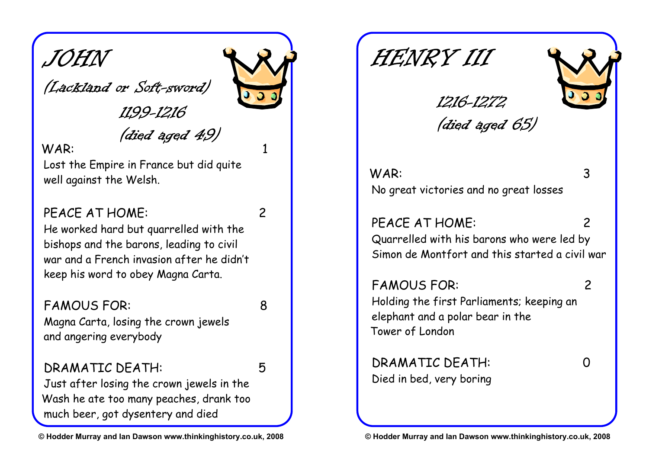JOHN

(Lackland or Soft-sword)

1199-1216

(died aged 49) WAR: 1

Lost the Empire in France but did quite well against the Welsh.

#### PFACE AT HOME: 2

He worked hard but quarrelled with the bishops and the barons, leading to civil war and a French invasion after he didn't keep his word to obey Magna Carta.

# FAMOUS FOR: 8

Magna Carta, losing the crown jewels and angering everybody

#### DRAMATIC DEATH: 5

Just after losing the crown jewels in the Wash he ate too many peaches, drank too much beer, got dysentery and died

HENRY III



(died aged 65)

1216-1272

WAR: 3 No great victories and no great losses

PEACE AT HOME: 2 Quarrelled with his barons who were led by Simon de Montfort and this started a civil war

FAMOUS FOR: 2 Holding the first Parliaments; keeping an elephant and a polar bear in the Tower of London

DRAMATIC DEATH: 0 Died in bed, very boring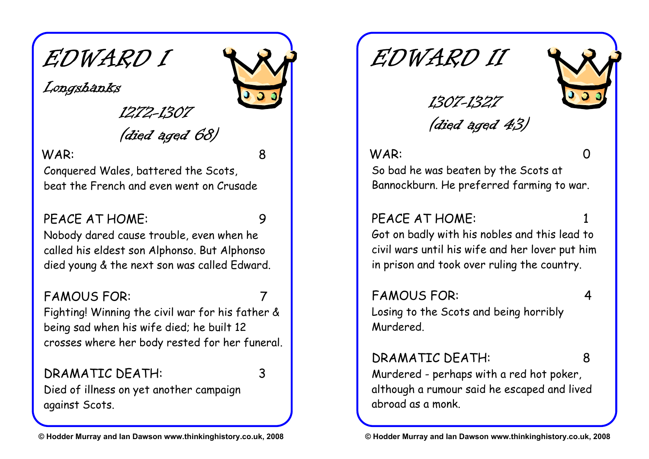EDWARD I

Longshanks

*1272-1307* 

(died aged 68)

#### WAR: 8

Conquered Wales, battered the Scots, beat the French and even went on Crusade

#### PFACF AT HOMF: 9

Nobody dared cause trouble, even when he called his eldest son Alphonso. But Alphonso died young & the next son was called Edward.

#### FAMOUS FOR:

Fighting! Winning the civil war for his father & being sad when his wife died; he built 12 crosses where her body rested for her funeral.

#### DRAMATIC DEATH: 3

Died of illness on yet another campaign against Scots.

EDWARD II



(died aged 43)

1307-1327

#### WAR: 0

So bad he was beaten by the Scots at Bannockburn. He preferred farming to war.

#### PEACE AT HOME:

Got on badly with his nobles and this lead to civil wars until his wife and her lover put him in prison and took over ruling the country.

FAMOUS FOR: 4 Losing to the Scots and being horribly Murdered.

#### DRAMATIC DEATH: 8

Murdered - perhaps with a red hot poker, although a rumour said he escaped and lived abroad as a monk.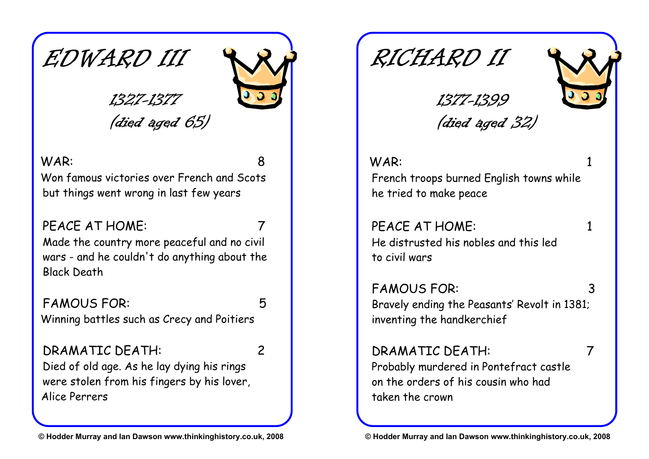

### 1327-1377

but things went wrong in last few years



# (died aged 65)

WAR: 8 Won famous victories over French and Scots

PEACE AT HOME:

Made the country more peaceful and no civil wars - and he couldn't do anything about the Black Death

# FAMOUS FOR: 5

Winning battles such as Crecy and Poitiers

### DRAMATIC DEATH: 2

Died of old age. As he lay dying his rings were stolen from his fingers by his lover, Alice Perrers

RICHARD II



(died aged 32)

1377-1399

WAR: 1 French troops burned English towns while he tried to make peace

PEACE AT HOME: 1 He distrusted his nobles and this led to civil wars

FAMOUS FOR: 3 Bravely ending the Peasants' Revolt in 1381; inventing the handkerchief

# DRAMATIC DEATH: 7

Probably murdered in Pontefract castle on the orders of his cousin who had taken the crown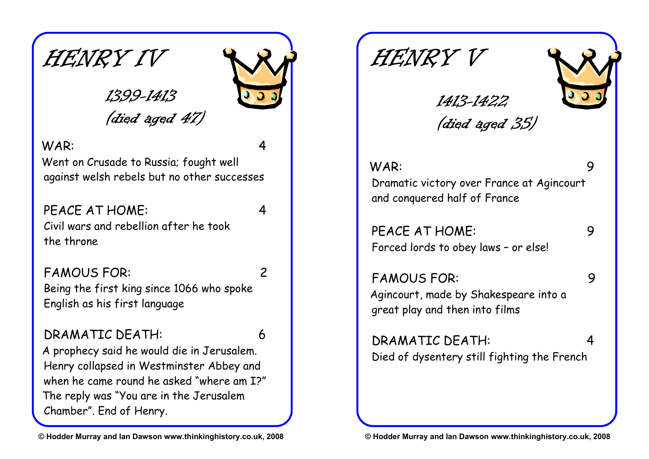HENRY IV

# (died aged 47)

1399-1413

#### WAR: 4

Went on Crusade to Russia; fought well against welsh rebels but no other successes

### PFACE AT HOME: 4

Civil wars and rebellion after he took the throne

### FAMOUS FOR: 2

Being the first king since 1066 who spoke English as his first language

#### DRAMATIC DEATH: 6

A prophecy said he would die in Jerusalem. Henry collapsed in Westminster Abbey and when he came round he asked "where am I?" The reply was "You are in the Jerusalem Chamber". End of Henry.

HENRY V



(died aged 35)

1413-1422

WAR: 9 Dramatic victory over France at Agincourt and conquered half of France

PEACE AT HOME: 9 Forced lords to obey laws – or else!

FAMOUS FOR: 9 Agincourt, made by Shakespeare into a great play and then into films

DRAMATIC DEATH: 4 Died of dysentery still fighting the French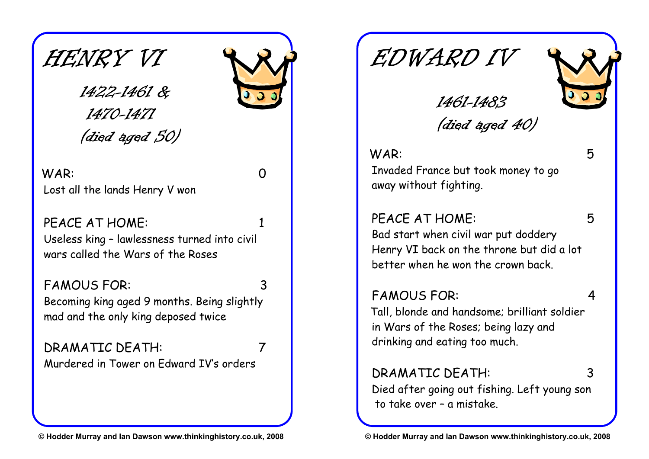HENRY VI

1422-1461 & 1470-1471 (died aged 50)

WAR: 0 Lost all the lands Henry V won

PEACE AT HOME: Useless king – lawlessness turned into civil wars called the Wars of the Roses

FAMOUS FOR: 3 Becoming king aged 9 months. Being slightly mad and the only king deposed twice

DRAMATIC DEATH: 7 Murdered in Tower on Edward IV's orders

EDWARD IV



(died aged 40)

1461-1483

#### WAR: 5

Invaded France but took money to go away without fighting.

#### PEACE AT HOME: 5

Bad start when civil war put doddery Henry VI back on the throne but did a lot better when he won the crown back.

#### FAMOUS FOR: 4

Tall, blonde and handsome; brilliant soldier in Wars of the Roses; being lazy and drinking and eating too much.

DRAMATIC DEATH: 3 Died after going out fishing. Left young son to take over – a mistake.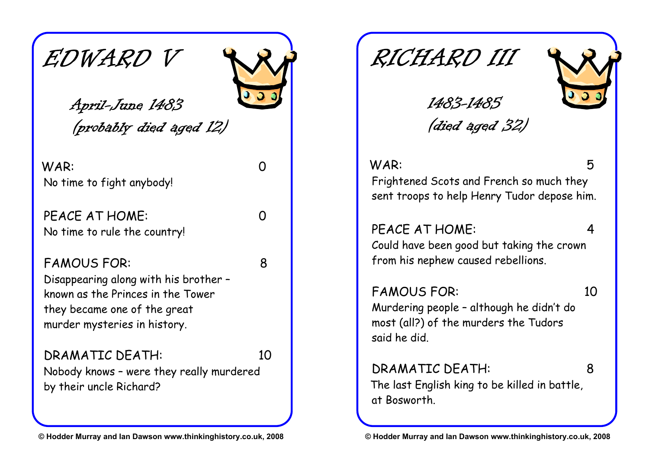



April-June 1483 (probably died aged 12)

WAR: 0 No time to fight anybody!

PFACF AT HOMF: 0 No time to rule the country!

#### FAMOUS FOR: 8

Disappearing along with his brother – known as the Princes in the Tower they became one of the great murder mysteries in history.

#### DRAMATIC DEATH: 10 Nobody knows – were they really murdered by their uncle Richard?

RICHARD III



(died aged 32)

*1483-1485* 

#### WAR: 5

Frightened Scots and French so much they sent troops to help Henry Tudor depose him.

#### PEACE AT HOME: 4

Could have been good but taking the crown from his nephew caused rebellions.

### FAMOUS FOR: 10

Murdering people – although he didn't do most (all?) of the murders the Tudors said he did.

DRAMATIC DEATH: 8 The last English king to be killed in battle, at Bosworth.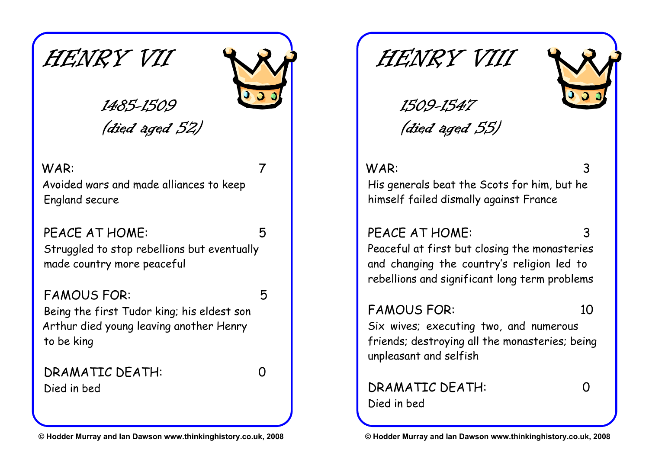



### 1485-1509 (died aged 52)

#### WAR: 7

Avoided wars and made alliances to keep England secure

PEACE AT HOME: 5 Struggled to stop rebellions but eventually made country more peaceful

#### FAMOUS FOR: 5

Being the first Tudor king; his eldest son Arthur died young leaving another Henry to be king

DRAMATIC DEATH: 0 Died in bed

HENRY VIII



1509-1547 (died aged 55)

#### WAR: 3

His generals beat the Scots for him, but he himself failed dismally against France

#### PEACE AT HOME:

Peaceful at first but closing the monasteries and changing the country's religion led to rebellions and significant long term problems

### FAMOUS FOR: 10

Six wives; executing two, and numerous friends; destroying all the monasteries; being unpleasant and selfish

#### DRAMATIC DEATH: 0 Died in bed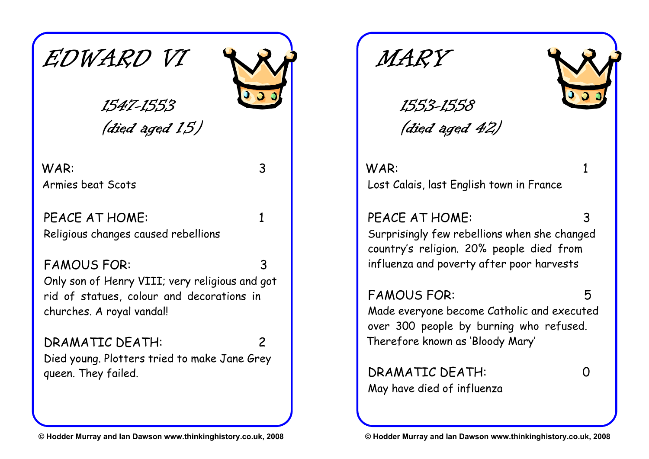

(died aged 15)

*1547-1553* 

#### WAR: 3 Armies beat Scots

PFACF AT HOMF: 1 Religious changes caused rebellions

#### FAMOUS FOR: 3

Only son of Henry VIII; very religious and got rid of statues, colour and decorations in churches. A royal vandal!

#### DRAMATIC DEATH: 2 Died young. Plotters tried to make Jane Grey queen. They failed.

MARY



1553-1558 (died aged 42)

WAR: 1 Lost Calais, last English town in France

#### PEACE AT HOME:

Surprisingly few rebellions when she changed country's religion. 20% people died from influenza and poverty after poor harvests

### **FAMOUS FOR:**

Made everyone become Catholic and executed over 300 people by burning who refused. Therefore known as 'Bloody Mary'

DRAMATIC DEATH: 0 May have died of influenza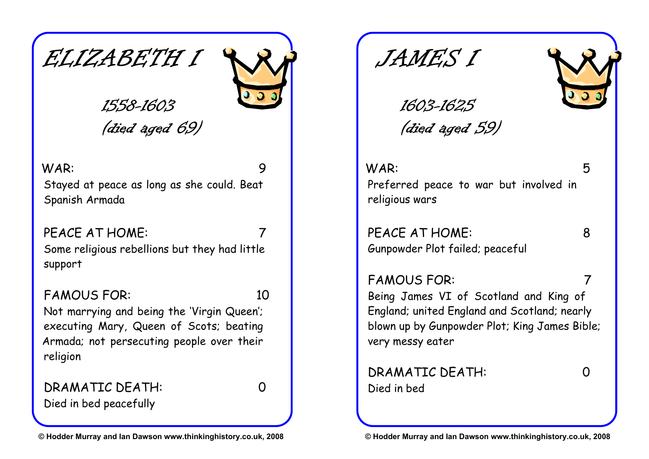



### 1558-1603 (died aged 69)

#### WAR: 9

Stayed at peace as long as she could. Beat Spanish Armada

### PEACE AT HOME: 7

Some religious rebellions but they had little support

### FAMOUS FOR: 10

Not marrying and being the 'Virgin Queen'; executing Mary, Queen of Scots; beating Armada; not persecuting people over their religion

DRAMATIC DEATH: 0

Died in bed peacefully

JAME'S I



1603-1625 (died aged 59)

WAR: 5 Preferred peace to war but involved in religious wars

PFACE AT HOME: 8 Gunpowder Plot failed; peaceful

FAMOUS FOR: 7

Being James VI of Scotland and King of England; united England and Scotland; nearly blown up by Gunpowder Plot; King James Bible; very messy eater

DRAMATIC DEATH: 0 Died in bed